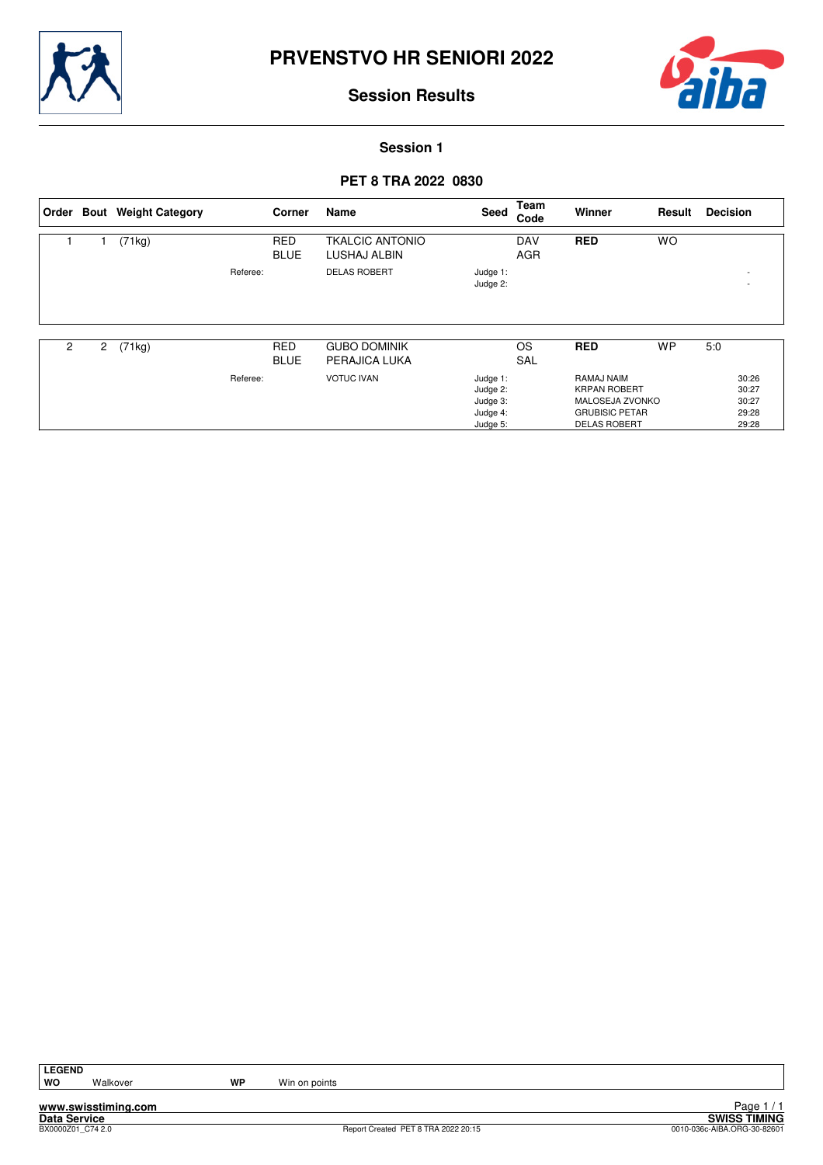



29:28 29:28

# **Session Results**

**Session 1**

## **PET 8 TRA 2022 0830**

|                |   | Order Bout Weight Category |          | Corner                    | Name                                   | Seed                             | Team<br>Code             | Winner                                               | Result    | <b>Decision</b>          |
|----------------|---|----------------------------|----------|---------------------------|----------------------------------------|----------------------------------|--------------------------|------------------------------------------------------|-----------|--------------------------|
|                |   | (71kg)                     |          | <b>RED</b><br><b>BLUE</b> | <b>TKALCIC ANTONIO</b><br>LUSHAJ ALBIN |                                  | <b>DAV</b><br><b>AGR</b> | <b>RED</b>                                           | <b>WO</b> |                          |
|                |   |                            | Referee: |                           | <b>DELAS ROBERT</b>                    | Judge 1:<br>Judge 2:             |                          |                                                      |           | $\overline{\phantom{a}}$ |
|                |   |                            |          |                           |                                        |                                  |                          |                                                      |           |                          |
| $\overline{c}$ | 2 | (71kg)                     |          | <b>RED</b><br><b>BLUE</b> | <b>GUBO DOMINIK</b><br>PERAJICA LUKA   |                                  | <b>OS</b><br><b>SAL</b>  | <b>RED</b>                                           | <b>WP</b> | 5:0                      |
|                |   |                            | Referee: |                           | <b>VOTUC IVAN</b>                      | Judge 1:<br>Judge 2:<br>Judge 3: |                          | RAMAJ NAIM<br><b>KRPAN ROBERT</b><br>MALOSEJA ZVONKO |           | 30:26<br>30:27<br>30:27  |

Judge 4: Judge 5: GRUBISIC PETAR DELAS ROBERT

**LEGEND**

**www.swisstiming.com**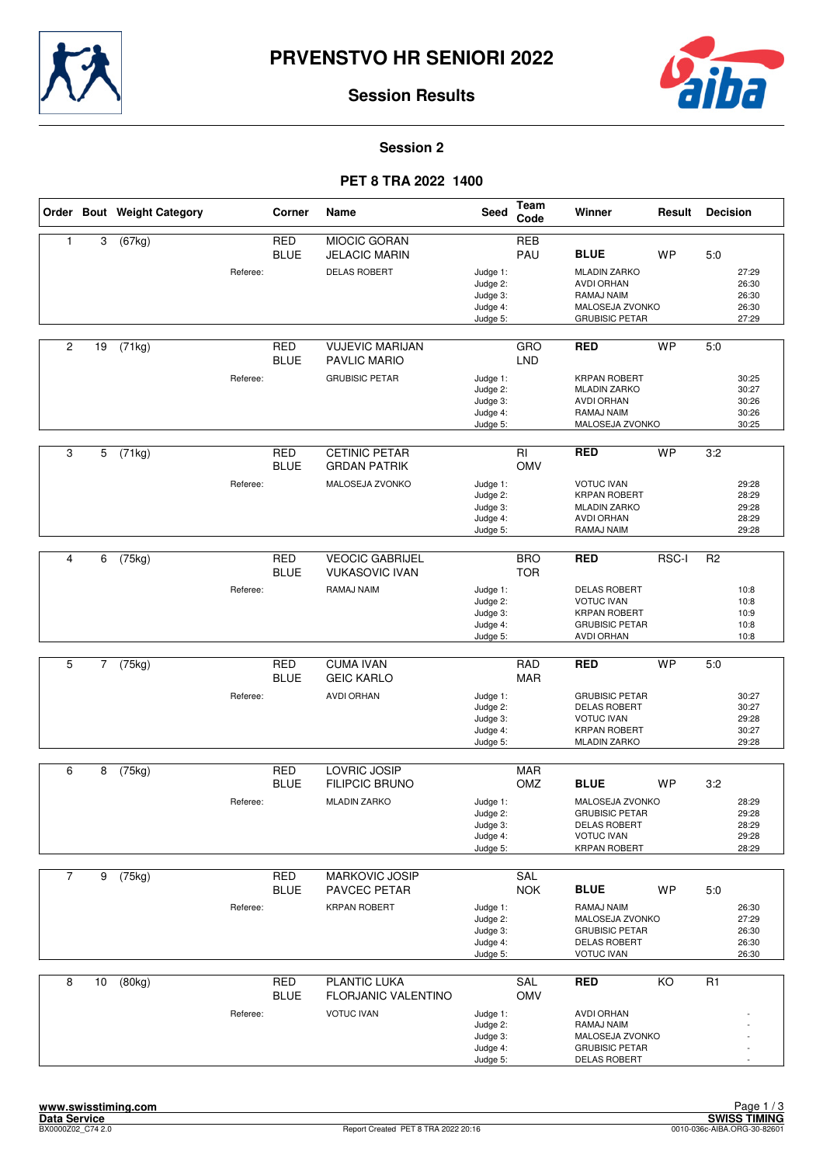



#### **Session 2**

## **PET 8 TRA 2022 1400**

|                |                | Order Bout Weight Category |          | Corner                    | Name                                          | Seed                                                     | Team<br>Code      | Winner                                                                                                                     | Result    | <b>Decision</b> |                                           |
|----------------|----------------|----------------------------|----------|---------------------------|-----------------------------------------------|----------------------------------------------------------|-------------------|----------------------------------------------------------------------------------------------------------------------------|-----------|-----------------|-------------------------------------------|
| 1              | 3              | (67kg)                     |          | <b>RED</b><br><b>BLUE</b> | <b>MIOCIC GORAN</b><br><b>JELACIC MARIN</b>   |                                                          | <b>REB</b><br>PAU | <b>BLUE</b>                                                                                                                | <b>WP</b> | 5:0             |                                           |
|                |                |                            | Referee: |                           | <b>DELAS ROBERT</b>                           | Judge 1:<br>Judge 2:<br>Judge 3:<br>Judge 4:<br>Judge 5: |                   | <b>MLADIN ZARKO</b><br><b>AVDI ORHAN</b><br>RAMAJ NAIM<br>MALOSEJA ZVONKO<br><b>GRUBISIC PETAR</b>                         |           |                 | 27:29<br>26:30<br>26:30<br>26:30<br>27:29 |
| $\overline{2}$ | 19             | (71kg)                     |          | <b>RED</b><br><b>BLUE</b> | <b>VUJEVIC MARIJAN</b><br><b>PAVLIC MARIO</b> |                                                          | GRO<br><b>LND</b> | <b>RED</b>                                                                                                                 | <b>WP</b> | 5:0             |                                           |
|                |                |                            | Referee: |                           | <b>GRUBISIC PETAR</b>                         | Judge 1:<br>Judge 2:<br>Judge 3:<br>Judge 4:<br>Judge 5: |                   | <b>KRPAN ROBERT</b><br><b>MLADIN ZARKO</b><br><b>AVDI ORHAN</b><br>RAMAJ NAIM<br>MALOSEJA ZVONKO                           |           |                 | 30:25<br>30:27<br>30:26<br>30:26<br>30:25 |
| 3              | 5              | (71kg)                     |          | <b>RED</b><br><b>BLUE</b> | <b>CETINIC PETAR</b><br><b>GRDAN PATRIK</b>   |                                                          | RI<br><b>OMV</b>  | <b>RED</b>                                                                                                                 | <b>WP</b> | 3:2             |                                           |
|                |                |                            | Referee: |                           | MALOSEJA ZVONKO                               | Judge 1:<br>Judge 2:<br>Judge 3:<br>Judge 4:<br>Judge 5: |                   | <b>VOTUC IVAN</b><br><b>KRPAN ROBERT</b><br><b>MLADIN ZARKO</b><br><b>AVDI ORHAN</b><br>RAMAJ NAIM                         |           |                 | 29:28<br>28:29<br>29:28<br>28:29<br>29:28 |
| 4              | 6              | (75kg)                     |          | <b>RED</b>                | <b>VEOCIC GABRIJEL</b>                        |                                                          | <b>BRO</b>        | <b>RED</b>                                                                                                                 | RSC-I     | R <sub>2</sub>  |                                           |
|                |                |                            | Referee: | <b>BLUE</b>               | <b>VUKASOVIC IVAN</b><br>RAMAJ NAIM           | Judge 1:<br>Judge 2:<br>Judge 3:<br>Judge 4:<br>Judge 5: | <b>TOR</b>        | <b>DELAS ROBERT</b><br><b>VOTUC IVAN</b><br><b>KRPAN ROBERT</b><br><b>GRUBISIC PETAR</b><br>AVDI ORHAN                     |           |                 | 10:8<br>10:8<br>10:9<br>10:8<br>10:8      |
| 5              | $\overline{7}$ | (75kg)                     |          | <b>RED</b>                | <b>CUMA IVAN</b>                              |                                                          | <b>RAD</b>        | <b>RED</b>                                                                                                                 | <b>WP</b> | 5.0             |                                           |
|                |                |                            | Referee: | <b>BLUE</b>               | <b>GEIC KARLO</b><br>AVDI ORHAN               | Judge 1:<br>Judge 2:<br>Judge 3:<br>Judge 4:<br>Judge 5: | <b>MAR</b>        | <b>GRUBISIC PETAR</b><br><b>DELAS ROBERT</b><br><b>VOTUC IVAN</b><br><b>KRPAN ROBERT</b><br><b>MLADIN ZARKO</b>            |           |                 | 30:27<br>30:27<br>29:28<br>30:27<br>29:28 |
| 6              | 8              | (75kg)                     |          | <b>RED</b>                | LOVRIC JOSIP                                  |                                                          | <b>MAR</b>        |                                                                                                                            |           |                 |                                           |
|                |                |                            | Referee: | <b>BLUE</b>               | <b>FILIPCIC BRUNO</b><br><b>MLADIN ZARKO</b>  | Judge 1:<br>Judge 2:<br>Judge 3:<br>Judge 4:<br>Judge 5: | OMZ               | <b>BLUE</b><br>MALOSEJA ZVONKO<br><b>GRUBISIC PETAR</b><br><b>DELAS ROBERT</b><br><b>VOTUC IVAN</b><br><b>KRPAN ROBERT</b> | <b>WP</b> | 3:2             | 28:29<br>29:28<br>28:29<br>29:28<br>28:29 |
| $\overline{7}$ | 9              | (75kg)                     |          | RED                       | <b>MARKOVIC JOSIP</b>                         |                                                          | SAL               |                                                                                                                            |           |                 |                                           |
|                |                |                            | Referee: | <b>BLUE</b>               | PAVCEC PETAR<br><b>KRPAN ROBERT</b>           | Judge 1:<br>Judge 2:<br>Judge 3:<br>Judge 4:<br>Judge 5: | <b>NOK</b>        | <b>BLUE</b><br>RAMAJ NAIM<br>MALOSEJA ZVONKO<br><b>GRUBISIC PETAR</b><br><b>DELAS ROBERT</b><br><b>VOTUC IVAN</b>          | <b>WP</b> | 5:0             | 26:30<br>27:29<br>26:30<br>26:30<br>26:30 |
| 8              | 10             | (80kg)                     |          | <b>RED</b><br><b>BLUE</b> | PLANTIC LUKA<br>FLORJANIC VALENTINO           |                                                          | SAL<br><b>OMV</b> | <b>RED</b>                                                                                                                 | KO        | R <sub>1</sub>  |                                           |
|                |                |                            | Referee: |                           | <b>VOTUC IVAN</b>                             | Judge 1:<br>Judge 2:<br>Judge 3:<br>Judge 4:<br>Judge 5: |                   | AVDI ORHAN<br>RAMAJ NAIM<br>MALOSEJA ZVONKO<br><b>GRUBISIC PETAR</b><br><b>DELAS ROBERT</b>                                |           |                 |                                           |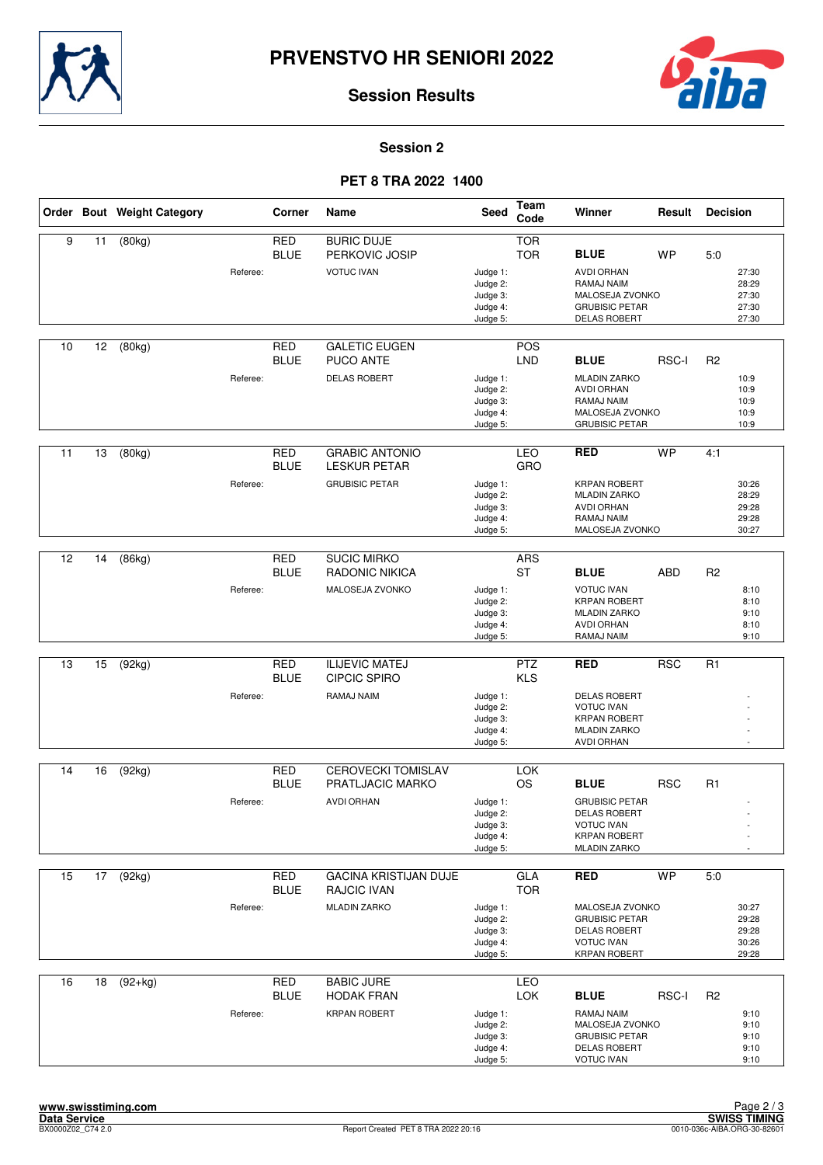



#### **Session 2**

## **PET 8 TRA 2022 1400**

|    |    | Order Bout Weight Category |          | Corner                    | Name                                                                      | <b>Seed</b>                                              | <b>Team</b><br>Code      | Winner                                                                                                                    | Result     | <b>Decision</b> |                                           |
|----|----|----------------------------|----------|---------------------------|---------------------------------------------------------------------------|----------------------------------------------------------|--------------------------|---------------------------------------------------------------------------------------------------------------------------|------------|-----------------|-------------------------------------------|
| 9  | 11 | (80kg)                     | Referee: | <b>RED</b><br><b>BLUE</b> | <b>BURIC DUJE</b><br>PERKOVIC JOSIP<br><b>VOTUC IVAN</b>                  | Judge 1:<br>Judge 2:<br>Judge 3:<br>Judge 4:<br>Judge 5: | <b>TOR</b><br><b>TOR</b> | <b>BLUE</b><br><b>AVDI ORHAN</b><br>RAMAJ NAIM<br>MALOSEJA ZVONKO<br><b>GRUBISIC PETAR</b><br><b>DELAS ROBERT</b>         | <b>WP</b>  | 5:0             | 27:30<br>28:29<br>27:30<br>27:30<br>27:30 |
| 10 | 12 | (80kg)                     | Referee: | <b>RED</b><br><b>BLUE</b> | <b>GALETIC EUGEN</b><br><b>PUCO ANTE</b><br><b>DELAS ROBERT</b>           | Judge 1:<br>Judge 2:<br>Judge 3:<br>Judge 4:<br>Judge 5: | POS<br><b>LND</b>        | <b>BLUE</b><br><b>MLADIN ZARKO</b><br><b>AVDI ORHAN</b><br>RAMAJ NAIM<br>MALOSEJA ZVONKO<br><b>GRUBISIC PETAR</b>         | RSC-I      | R <sub>2</sub>  | 10:9<br>10:9<br>10:9<br>10:9<br>10:9      |
| 11 | 13 | (80kg)                     | Referee: | <b>RED</b><br><b>BLUE</b> | <b>GRABIC ANTONIO</b><br><b>LESKUR PETAR</b><br><b>GRUBISIC PETAR</b>     | Judge 1:<br>Judge 2:<br>Judge 3:<br>Judge 4:<br>Judge 5: | <b>LEO</b><br>GRO        | <b>RED</b><br><b>KRPAN ROBERT</b><br><b>MLADIN ZARKO</b><br><b>AVDI ORHAN</b><br>RAMAJ NAIM<br>MALOSEJA ZVONKO            | <b>WP</b>  | 4:1             | 30:26<br>28:29<br>29:28<br>29:28<br>30:27 |
| 12 | 14 | (86kg)                     | Referee: | <b>RED</b><br><b>BLUE</b> | <b>SUCIC MIRKO</b><br>RADONIC NIKICA<br>MALOSEJA ZVONKO                   | Judge 1:<br>Judge 2:<br>Judge 3:<br>Judge 4:<br>Judge 5: | <b>ARS</b><br><b>ST</b>  | <b>BLUE</b><br><b>VOTUC IVAN</b><br><b>KRPAN ROBERT</b><br><b>MLADIN ZARKO</b><br><b>AVDI ORHAN</b><br>RAMAJ NAIM         | <b>ABD</b> | R <sub>2</sub>  | 8:10<br>8:10<br>9:10<br>8:10<br>9:10      |
| 13 | 15 | (92kg)                     | Referee: | <b>RED</b><br><b>BLUE</b> | <b>ILIJEVIC MATEJ</b><br><b>CIPCIC SPIRO</b><br>RAMAJ NAIM                | Judge 1:<br>Judge 2:<br>Judge 3:<br>Judge 4:<br>Judge 5: | <b>PTZ</b><br><b>KLS</b> | <b>RED</b><br><b>DELAS ROBERT</b><br><b>VOTUC IVAN</b><br><b>KRPAN ROBERT</b><br><b>MLADIN ZARKO</b><br><b>AVDI ORHAN</b> | <b>RSC</b> | R <sub>1</sub>  |                                           |
| 14 | 16 | (92kg)                     | Referee: | <b>RED</b><br><b>BLUE</b> | <b>CEROVECKI TOMISLAV</b><br>PRATLJACIC MARKO<br><b>AVDI ORHAN</b>        | Judge 1:<br>Judge 2:<br>Judge 3:<br>Judge 4:<br>Judge 5: | <b>LOK</b><br><b>OS</b>  | <b>BLUE</b><br><b>GRUBISIC PETAR</b><br>DELAS ROBERT<br><b>VOTUC IVAN</b><br><b>KRPAN ROBERT</b><br><b>MLADIN ZARKO</b>   | <b>RSC</b> | R1              |                                           |
| 15 | 17 | (92kg)                     | Referee: | <b>RED</b><br><b>BLUE</b> | <b>GACINA KRISTIJAN DUJE</b><br><b>RAJCIC IVAN</b><br><b>MLADIN ZARKO</b> | Judge 1:<br>Judge 2:<br>Judge 3:<br>Judge 4:<br>Judge 5: | GLA<br><b>TOR</b>        | <b>RED</b><br>MALOSEJA ZVONKO<br><b>GRUBISIC PETAR</b><br><b>DELAS ROBERT</b><br><b>VOTUC IVAN</b><br><b>KRPAN ROBERT</b> | <b>WP</b>  | 5.0             | 30:27<br>29:28<br>29:28<br>30:26<br>29:28 |
| 16 | 18 | $(92+kg)$                  | Referee: | <b>RED</b><br><b>BLUE</b> | <b>BABIC JURE</b><br><b>HODAK FRAN</b><br><b>KRPAN ROBERT</b>             | Judge 1:<br>Judge 2:<br>Judge 3:<br>Judge 4:<br>Judge 5: | LEO<br><b>LOK</b>        | <b>BLUE</b><br>RAMAJ NAIM<br>MALOSEJA ZVONKO<br><b>GRUBISIC PETAR</b><br><b>DELAS ROBERT</b><br><b>VOTUC IVAN</b>         | RSC-I      | R <sub>2</sub>  | 9:10<br>9:10<br>9:10<br>9:10<br>9:10      |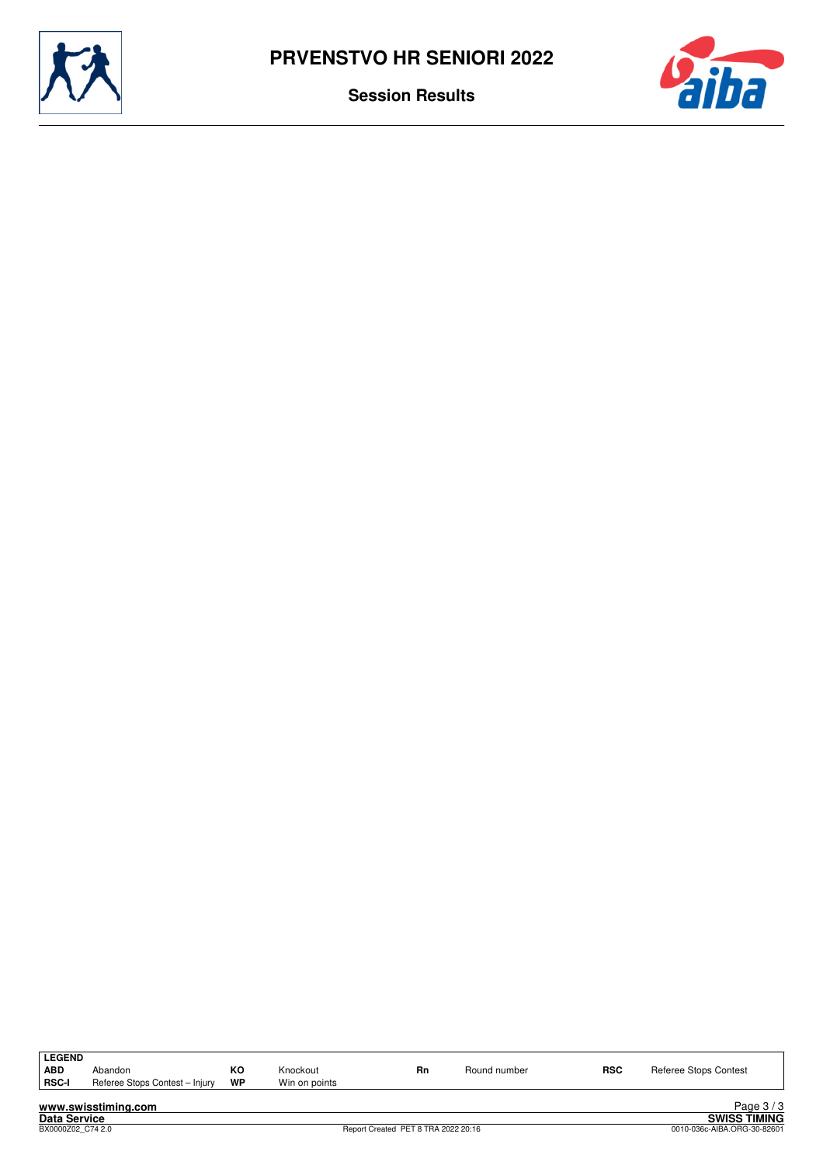



| <b>LEGEND</b><br><b>ABD</b><br><b>RSC-I</b> | Abandon<br>Referee Stops Contest - Injury | ĸо<br>WP | Knockout<br>Win on points | Rn | Round number | <b>RSC</b> | Referee Stops Contest |
|---------------------------------------------|-------------------------------------------|----------|---------------------------|----|--------------|------------|-----------------------|
|                                             | www.swisstiming.com                       |          |                           |    |              |            | Page $3/3$            |

Data Service<br>BX0000Z02\_C74 2.0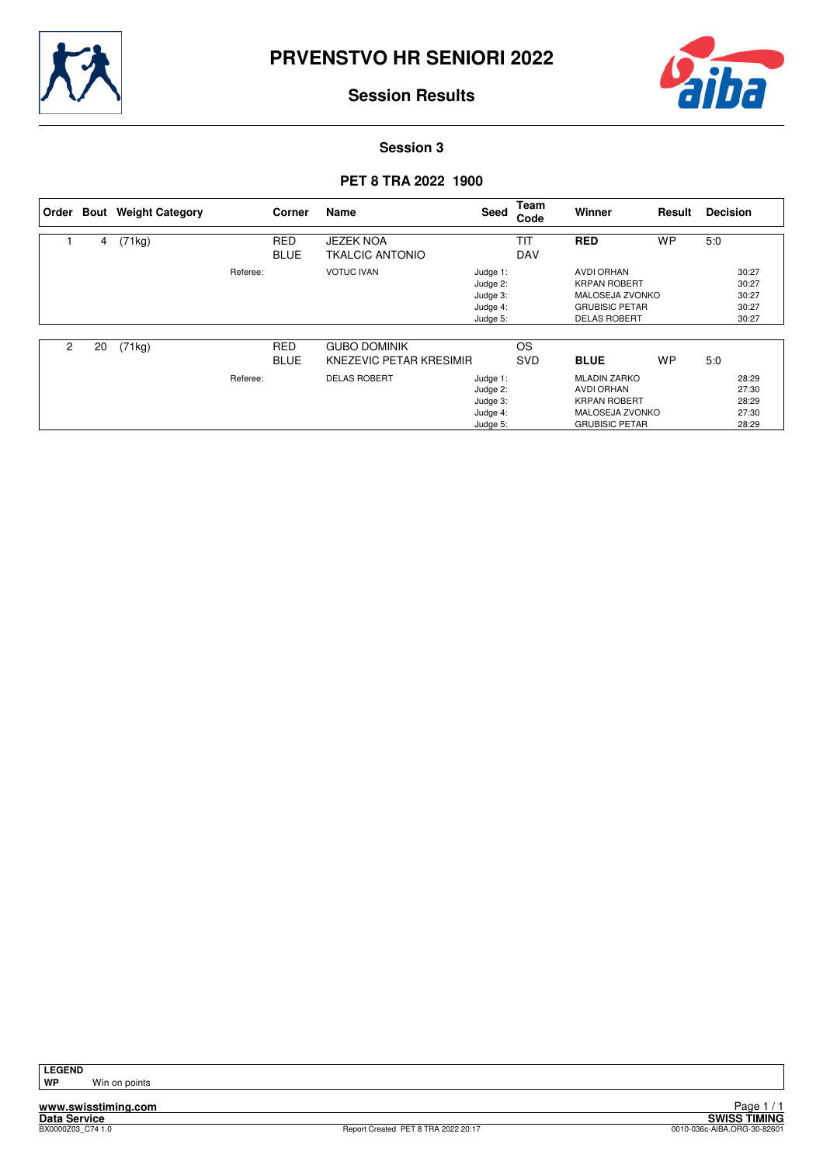



**Session 3**

## **PET 8 TRA 2022 1900**

| Order |    | <b>Bout</b> Weight Category |          | Corner                    | Name                                           | Seed                                                     | Team<br>Code             | <b>Winner</b>                                                                                                      | Result    | <b>Decision</b> |                                           |
|-------|----|-----------------------------|----------|---------------------------|------------------------------------------------|----------------------------------------------------------|--------------------------|--------------------------------------------------------------------------------------------------------------------|-----------|-----------------|-------------------------------------------|
|       | 4  | (71kg)                      |          | <b>RED</b><br><b>BLUE</b> | <b>JEZEK NOA</b><br><b>TKALCIC ANTONIO</b>     |                                                          | <b>TIT</b><br><b>DAV</b> | <b>RED</b>                                                                                                         | <b>WP</b> | 5:0             |                                           |
|       |    |                             | Referee: |                           | <b>VOTUC IVAN</b>                              | Judge 1:<br>Judge 2:<br>Judge 3:<br>Judge 4:<br>Judge 5: |                          | <b>AVDI ORHAN</b><br><b>KRPAN ROBERT</b><br><b>MALOSEJA ZVONKO</b><br><b>GRUBISIC PETAR</b><br><b>DELAS ROBERT</b> |           |                 | 30:27<br>30:27<br>30:27<br>30:27<br>30:27 |
| 2     | 20 | (71kg)                      |          | <b>RED</b><br><b>BLUE</b> | <b>GUBO DOMINIK</b><br>KNEZEVIC PETAR KRESIMIR |                                                          | <b>OS</b><br><b>SVD</b>  | <b>BLUE</b>                                                                                                        | <b>WP</b> | 5:0             |                                           |
|       |    |                             | Referee: |                           | <b>DELAS ROBERT</b>                            | Judge 1:<br>Judge 2:<br>Judge 3:<br>Judge 4:<br>Judge 5: |                          | <b>MLADIN ZARKO</b><br><b>AVDI ORHAN</b><br><b>KRPAN ROBERT</b><br>MALOSEJA ZVONKO<br><b>GRUBISIC PETAR</b>        |           |                 | 28:29<br>27:30<br>28:29<br>27:30<br>28:29 |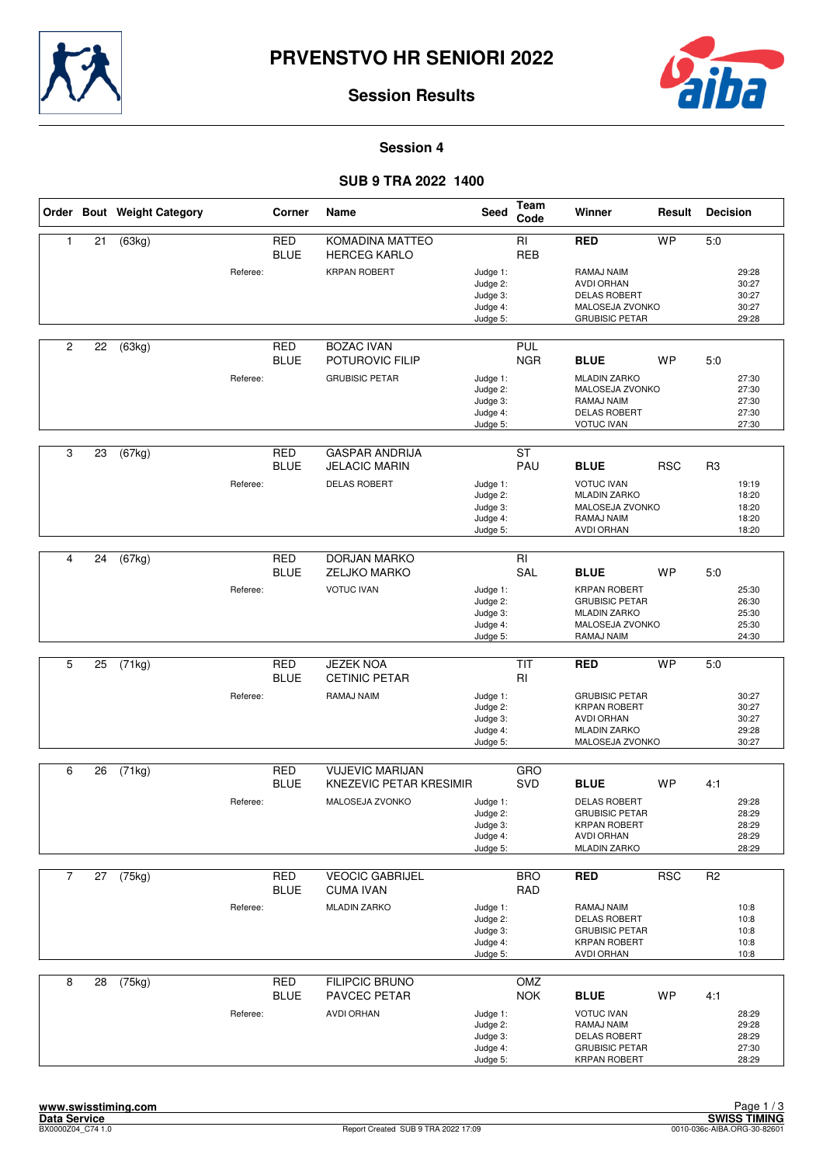



#### **Session 4**

## **SUB 9 TRA 2022 1400**

|                |    | Order Bout Weight Category |          | Corner                    | Name                                          | <b>Seed</b>                                              | Team<br>Code             | Winner                                                                                                                | Result     | <b>Decision</b> |                                           |
|----------------|----|----------------------------|----------|---------------------------|-----------------------------------------------|----------------------------------------------------------|--------------------------|-----------------------------------------------------------------------------------------------------------------------|------------|-----------------|-------------------------------------------|
| 1              | 21 | (63kg)                     |          | <b>RED</b><br><b>BLUE</b> | KOMADINA MATTEO<br><b>HERCEG KARLO</b>        |                                                          | RI<br><b>REB</b>         | <b>RED</b>                                                                                                            | <b>WP</b>  | 5:0             |                                           |
|                |    |                            | Referee: |                           | <b>KRPAN ROBERT</b>                           | Judge 1:<br>Judge 2:<br>Judge 3:<br>Judge 4:<br>Judge 5: |                          | RAMAJ NAIM<br><b>AVDI ORHAN</b><br><b>DELAS ROBERT</b><br>MALOSEJA ZVONKO<br><b>GRUBISIC PETAR</b>                    |            |                 | 29:28<br>30:27<br>30:27<br>30:27<br>29:28 |
| $\overline{c}$ | 22 | (63kg)                     |          | <b>RED</b><br><b>BLUE</b> | <b>BOZAC IVAN</b><br>POTUROVIC FILIP          |                                                          | <b>PUL</b><br><b>NGR</b> | <b>BLUE</b>                                                                                                           | <b>WP</b>  | 5:0             |                                           |
|                |    |                            | Referee: |                           | <b>GRUBISIC PETAR</b>                         | Judge 1:<br>Judge 2:<br>Judge 3:<br>Judge 4:<br>Judge 5: |                          | <b>MLADIN ZARKO</b><br>MALOSEJA ZVONKO<br>RAMAJ NAIM<br><b>DELAS ROBERT</b><br><b>VOTUC IVAN</b>                      |            |                 | 27:30<br>27:30<br>27:30<br>27:30<br>27:30 |
| 3              | 23 | (67kg)                     |          | <b>RED</b><br><b>BLUE</b> | <b>GASPAR ANDRIJA</b><br><b>JELACIC MARIN</b> |                                                          | <b>ST</b><br>PAU         | <b>BLUE</b>                                                                                                           | <b>RSC</b> | R <sub>3</sub>  |                                           |
|                |    |                            | Referee: |                           | <b>DELAS ROBERT</b>                           | Judge 1:<br>Judge 2:<br>Judge 3:<br>Judge 4:<br>Judge 5: |                          | <b>VOTUC IVAN</b><br><b>MLADIN ZARKO</b><br>MALOSEJA ZVONKO<br>RAMAJ NAIM<br><b>AVDI ORHAN</b>                        |            |                 | 19:19<br>18:20<br>18:20<br>18:20<br>18:20 |
|                |    |                            |          |                           |                                               |                                                          |                          |                                                                                                                       |            |                 |                                           |
| 4              | 24 | (67kg)                     |          | <b>RED</b><br><b>BLUE</b> | <b>DORJAN MARKO</b><br><b>ZELJKO MARKO</b>    |                                                          | $\overline{RI}$<br>SAL   | <b>BLUE</b>                                                                                                           | <b>WP</b>  | 5:0             |                                           |
|                |    |                            | Referee: |                           | <b>VOTUC IVAN</b>                             | Judge 1:<br>Judge 2:<br>Judge 3:<br>Judge 4:<br>Judge 5: |                          | <b>KRPAN ROBERT</b><br><b>GRUBISIC PETAR</b><br><b>MLADIN ZARKO</b><br>MALOSEJA ZVONKO<br>RAMAJ NAIM                  |            |                 | 25:30<br>26:30<br>25:30<br>25:30<br>24:30 |
|                |    |                            |          |                           |                                               |                                                          |                          |                                                                                                                       |            |                 |                                           |
| 5              | 25 | (71kg)                     |          | <b>RED</b><br><b>BLUE</b> | <b>JEZEK NOA</b><br><b>CETINIC PETAR</b>      |                                                          | <b>TIT</b><br>RI         | <b>RED</b>                                                                                                            | <b>WP</b>  | 5.0             |                                           |
|                |    |                            | Referee: |                           | RAMAJ NAIM                                    | Judge 1:<br>Judge 2:<br>Judge 3:<br>Judge 4:<br>Judge 5: |                          | <b>GRUBISIC PETAR</b><br><b>KRPAN ROBERT</b><br><b>AVDI ORHAN</b><br><b>MLADIN ZARKO</b><br>MALOSEJA ZVONKO           |            |                 | 30:27<br>30:27<br>30:27<br>29:28<br>30:27 |
| 6              |    | (71kg)                     |          | <b>RED</b>                | <b>VUJEVIC MARIJAN</b>                        |                                                          | GRO                      |                                                                                                                       |            |                 |                                           |
|                | 26 |                            |          | <b>BLUE</b>               | KNEZEVIC PETAR KRESIMIR                       |                                                          | SVD                      | <b>BLUE</b>                                                                                                           | <b>WP</b>  | 4:1             |                                           |
|                |    |                            | Referee: |                           | MALOSEJA ZVONKO                               | Judge 1:<br>Judge 2:<br>Judge 3:<br>Judge 4:<br>Judge 5: |                          | <b>DELAS ROBERT</b><br><b>GRUBISIC PETAR</b><br><b>KRPAN ROBERT</b><br>AVDI ORHAN<br><b>MLADIN ZARKO</b>              |            |                 | 29:28<br>28:29<br>28:29<br>28:29<br>28:29 |
| $\overline{7}$ |    | 27 (75kg)                  |          | <b>RED</b>                | <b>VEOCIC GABRIJEL</b>                        |                                                          | <b>BRO</b>               | <b>RED</b>                                                                                                            | <b>RSC</b> | R <sub>2</sub>  |                                           |
|                |    |                            |          | <b>BLUE</b>               | <b>CUMA IVAN</b>                              |                                                          | <b>RAD</b>               |                                                                                                                       |            |                 |                                           |
|                |    |                            | Referee: |                           | <b>MLADIN ZARKO</b>                           | Judge 1:<br>Judge 2:<br>Judge 3:<br>Judge 4:<br>Judge 5: |                          | RAMAJ NAIM<br><b>DELAS ROBERT</b><br><b>GRUBISIC PETAR</b><br><b>KRPAN ROBERT</b><br><b>AVDI ORHAN</b>                |            |                 | 10:8<br>10:8<br>10:8<br>10:8<br>10:8      |
| 8              | 28 | (75kg)                     |          | <b>RED</b>                | <b>FILIPCIC BRUNO</b>                         |                                                          | OMZ                      |                                                                                                                       |            |                 |                                           |
|                |    |                            | Referee: | <b>BLUE</b>               | PAVCEC PETAR<br><b>AVDI ORHAN</b>             | Judge 1:<br>Judge 2:<br>Judge 3:<br>Judge 4:<br>Judge 5: | <b>NOK</b>               | <b>BLUE</b><br><b>VOTUC IVAN</b><br>RAMAJ NAIM<br><b>DELAS ROBERT</b><br><b>GRUBISIC PETAR</b><br><b>KRPAN ROBERT</b> | <b>WP</b>  | 4:1             | 28:29<br>29:28<br>28:29<br>27:30<br>28:29 |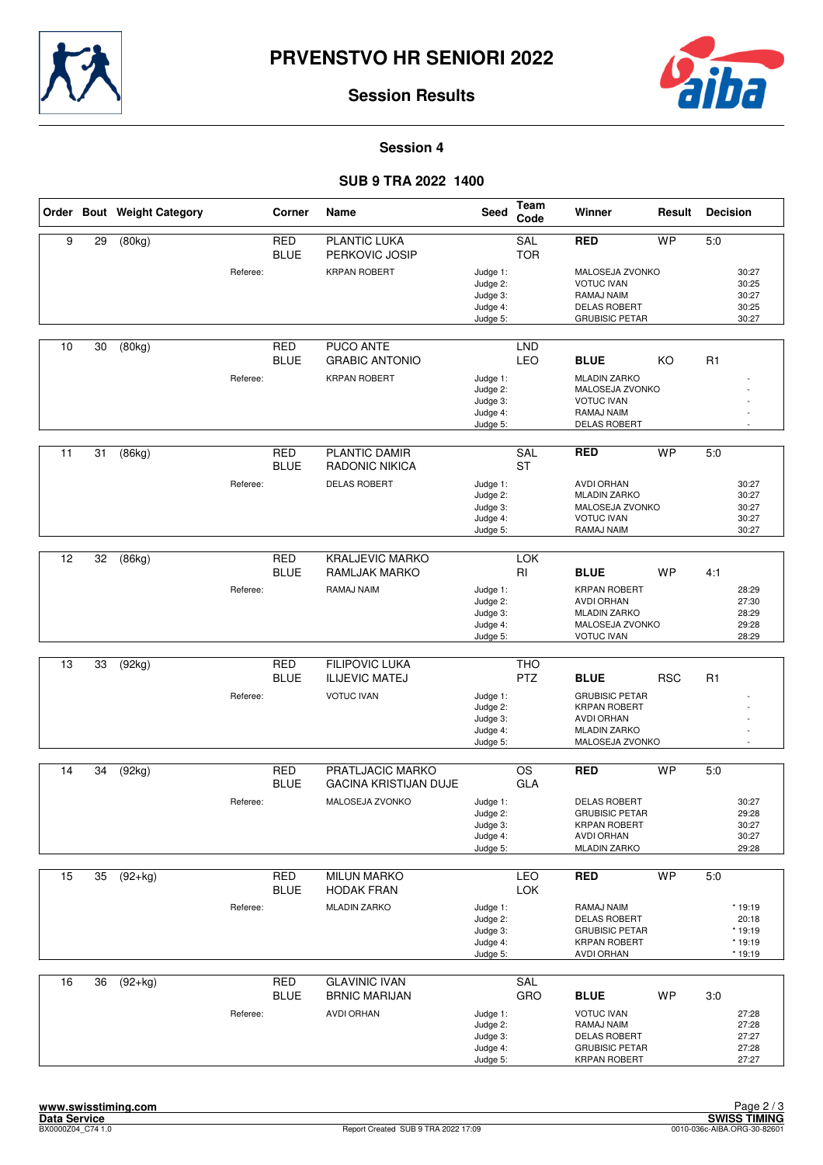



#### **Session 4**

## **SUB 9 TRA 2022 1400**

|    |    | Order Bout Weight Category |          | <b>Corner</b>             | Name                                           | <b>Seed</b>                                              | Team<br>Code             | Winner                                                                                                          | Result     | <b>Decision</b>                                    |
|----|----|----------------------------|----------|---------------------------|------------------------------------------------|----------------------------------------------------------|--------------------------|-----------------------------------------------------------------------------------------------------------------|------------|----------------------------------------------------|
| 9  | 29 | (80kg)                     |          | <b>RED</b><br><b>BLUE</b> | PLANTIC LUKA<br>PERKOVIC JOSIP                 |                                                          | <b>SAL</b><br><b>TOR</b> | <b>RED</b>                                                                                                      | <b>WP</b>  | 5:0                                                |
|    |    |                            | Referee: |                           | <b>KRPAN ROBERT</b>                            | Judge 1:<br>Judge 2:<br>Judge 3:<br>Judge 4:<br>Judge 5: |                          | MALOSEJA ZVONKO<br><b>VOTUC IVAN</b><br>RAMAJ NAIM<br><b>DELAS ROBERT</b><br><b>GRUBISIC PETAR</b>              |            | 30:27<br>30:25<br>30:27<br>30:25<br>30:27          |
| 10 | 30 | (80kg)                     |          | <b>RED</b><br><b>BLUE</b> | PUCO ANTE<br><b>GRABIC ANTONIO</b>             |                                                          | <b>LND</b><br><b>LEO</b> | <b>BLUE</b>                                                                                                     | KO         | R1                                                 |
|    |    |                            | Referee: |                           | <b>KRPAN ROBERT</b>                            | Judge 1:<br>Judge 2:<br>Judge 3:<br>Judge 4:<br>Judge 5: |                          | <b>MLADIN ZARKO</b><br>MALOSEJA ZVONKO<br><b>VOTUC IVAN</b><br>RAMAJ NAIM<br><b>DELAS ROBERT</b>                |            |                                                    |
| 11 | 31 | (86kg)                     |          | <b>RED</b><br><b>BLUE</b> | PLANTIC DAMIR<br><b>RADONIC NIKICA</b>         |                                                          | SAL<br><b>ST</b>         | <b>RED</b>                                                                                                      | <b>WP</b>  | 5.0                                                |
|    |    |                            | Referee: |                           | <b>DELAS ROBERT</b>                            | Judge 1:<br>Judge 2:<br>Judge 3:<br>Judge 4:<br>Judge 5: |                          | <b>AVDI ORHAN</b><br><b>MLADIN ZARKO</b><br>MALOSEJA ZVONKO<br><b>VOTUC IVAN</b><br>RAMAJ NAIM                  |            | 30:27<br>30:27<br>30:27<br>30:27<br>30:27          |
| 12 | 32 | (86kg)                     |          | <b>RED</b>                | <b>KRALJEVIC MARKO</b>                         |                                                          | <b>LOK</b>               |                                                                                                                 |            |                                                    |
|    |    |                            |          | <b>BLUE</b>               | RAMLJAK MARKO                                  |                                                          | RI                       | <b>BLUE</b>                                                                                                     | <b>WP</b>  | 4:1                                                |
|    |    |                            | Referee: |                           | RAMAJ NAIM                                     | Judge 1:<br>Judge 2:<br>Judge 3:<br>Judge 4:<br>Judge 5: |                          | <b>KRPAN ROBERT</b><br><b>AVDI ORHAN</b><br><b>MLADIN ZARKO</b><br>MALOSEJA ZVONKO<br><b>VOTUC IVAN</b>         |            | 28:29<br>27:30<br>28:29<br>29:28<br>28:29          |
|    |    |                            |          |                           |                                                |                                                          |                          |                                                                                                                 |            |                                                    |
| 13 | 33 | (92kg)                     |          | <b>RED</b><br><b>BLUE</b> | <b>FILIPOVIC LUKA</b><br><b>ILIJEVIC MATEJ</b> |                                                          | <b>THO</b><br><b>PTZ</b> | <b>BLUE</b>                                                                                                     | <b>RSC</b> | R1                                                 |
|    |    |                            | Referee: |                           | <b>VOTUC IVAN</b>                              | Judge 1:<br>Judge 2:<br>Judge 3:<br>Judge 4:<br>Judge 5: |                          | <b>GRUBISIC PETAR</b><br><b>KRPAN ROBERT</b><br><b>AVDI ORHAN</b><br><b>MLADIN ZARKO</b><br>MALOSEJA ZVONKO     |            |                                                    |
| 14 | 34 | (92kg)                     |          | <b>RED</b>                | PRATLJACIC MARKO                               |                                                          | <b>OS</b>                | <b>RED</b>                                                                                                      | <b>WP</b>  | 5:0                                                |
|    |    |                            |          | <b>BLUE</b>               | <b>GACINA KRISTIJAN DUJE</b>                   |                                                          | GLA                      |                                                                                                                 |            |                                                    |
|    |    |                            | Referee: |                           | MALOSEJA ZVONKO                                | Judge 1:<br>Judge 2:<br>Judge 3:<br>Judge 4:<br>Judge 5: |                          | <b>DELAS ROBERT</b><br><b>GRUBISIC PETAR</b><br><b>KRPAN ROBERT</b><br><b>AVDI ORHAN</b><br><b>MLADIN ZARKO</b> |            | 30:27<br>29:28<br>30:27<br>30:27<br>29:28          |
| 15 | 35 | $(92+kg)$                  |          | RED                       | <b>MILUN MARKO</b>                             |                                                          | LEO                      | <b>RED</b>                                                                                                      | <b>WP</b>  | 5:0                                                |
|    |    |                            |          | <b>BLUE</b>               | <b>HODAK FRAN</b>                              |                                                          | <b>LOK</b>               |                                                                                                                 |            |                                                    |
|    |    |                            | Referee: |                           | <b>MLADIN ZARKO</b>                            | Judge 1:<br>Judge 2:<br>Judge 3:<br>Judge 4:<br>Judge 5: |                          | RAMAJ NAIM<br><b>DELAS ROBERT</b><br><b>GRUBISIC PETAR</b><br><b>KRPAN ROBERT</b><br><b>AVDI ORHAN</b>          |            | * 19:19<br>20:18<br>$*19:19$<br>* 19:19<br>* 19:19 |
| 16 | 36 | $(92+kg)$                  |          | <b>RED</b>                | <b>GLAVINIC IVAN</b>                           |                                                          | <b>SAL</b>               |                                                                                                                 |            |                                                    |
|    |    |                            | Referee: | <b>BLUE</b>               | <b>BRNIC MARIJAN</b><br><b>AVDI ORHAN</b>      | Judge 1:<br>Judge 2:<br>Judge 3:<br>Judge 4:<br>Judge 5: | GRO                      | <b>BLUE</b><br><b>VOTUC IVAN</b><br>RAMAJ NAIM<br>DELAS ROBERT<br><b>GRUBISIC PETAR</b><br><b>KRPAN ROBERT</b>  | <b>WP</b>  | 3:0<br>27:28<br>27:28<br>27:27<br>27:28<br>27:27   |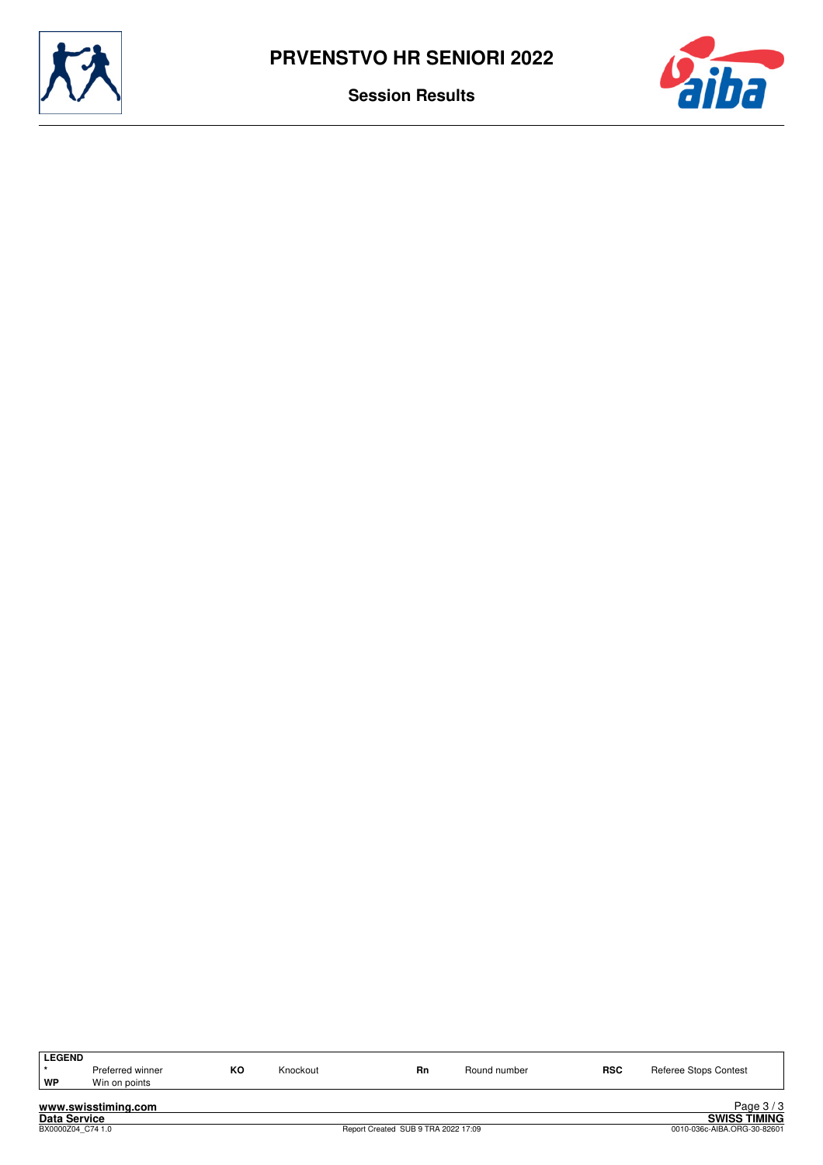



| <b>LEGEND</b>       |                     |    |          |                                     |              |                             |                              |  |  |
|---------------------|---------------------|----|----------|-------------------------------------|--------------|-----------------------------|------------------------------|--|--|
|                     | Preferred winner    | КO | Knockout | <b>Rn</b>                           | Round number | <b>RSC</b>                  | <b>Referee Stops Contest</b> |  |  |
| WP                  | Win on points       |    |          |                                     |              |                             |                              |  |  |
|                     |                     |    |          |                                     |              |                             |                              |  |  |
|                     | www.swisstiming.com |    |          |                                     |              |                             | Page $3/3$                   |  |  |
| <b>Data Service</b> |                     |    |          |                                     |              |                             | <b>SWISS TIMING</b>          |  |  |
|                     | BX0000Z04 C74 1.0   |    |          | Report Created SUB 9 TRA 2022 17:09 |              | 0010-036c-AIBA.ORG-30-82601 |                              |  |  |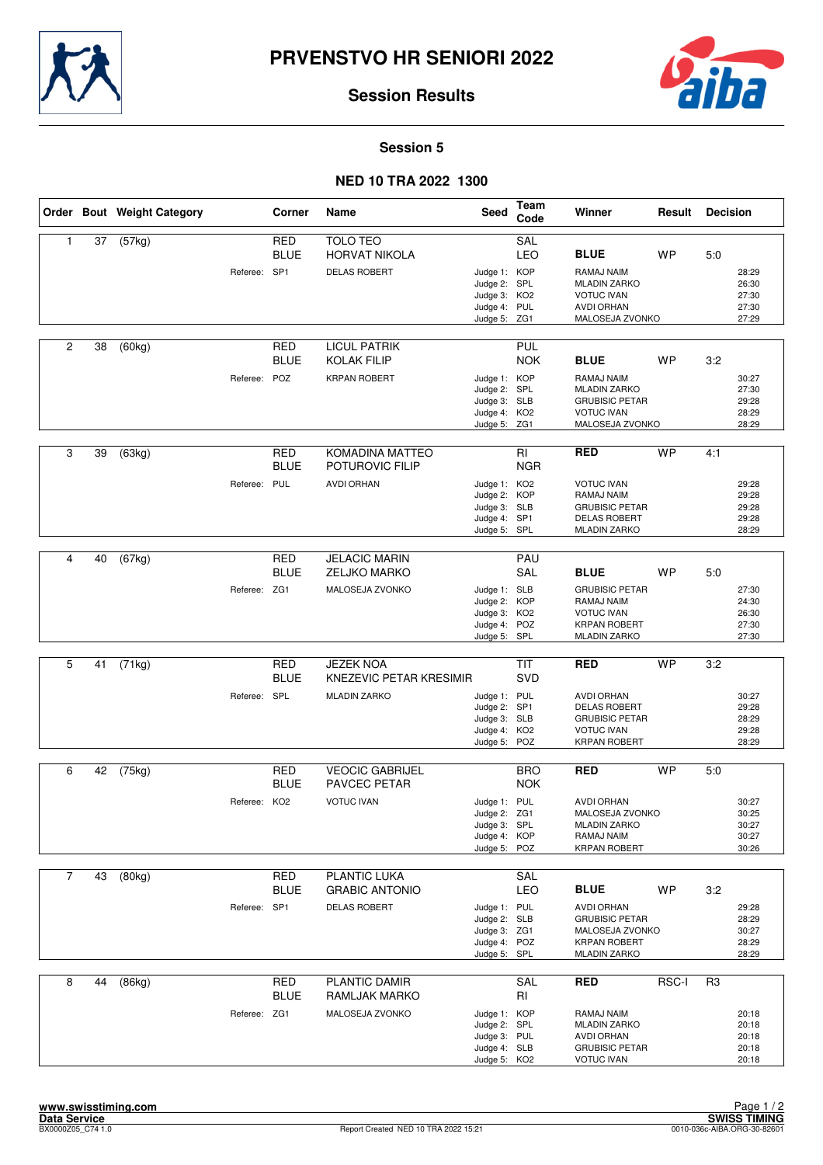



#### **Session 5**

## **NED 10 TRA 2022 1300**

|                |    | Order Bout Weight Category |              | Corner                    | Name                                                               | <b>Seed</b>                                                                  | <b>Team</b><br>Code      | Winner                                                                                                                      | Result    | <b>Decision</b> |                                           |
|----------------|----|----------------------------|--------------|---------------------------|--------------------------------------------------------------------|------------------------------------------------------------------------------|--------------------------|-----------------------------------------------------------------------------------------------------------------------------|-----------|-----------------|-------------------------------------------|
| 1              | 37 | (57kg)                     | Referee: SP1 | <b>RED</b><br><b>BLUE</b> | <b>TOLO TEO</b><br><b>HORVAT NIKOLA</b><br><b>DELAS ROBERT</b>     | Judge 1: KOP<br>Judge 2: SPL<br>Judge 3: KO2<br>Judge 4: PUL<br>Judge 5: ZG1 | SAL<br>LEO               | <b>BLUE</b><br>RAMAJ NAIM<br><b>MLADIN ZARKO</b><br><b>VOTUC IVAN</b><br><b>AVDI ORHAN</b><br>MALOSEJA ZVONKO               | <b>WP</b> | 5:0             | 28:29<br>26:30<br>27:30<br>27:30<br>27:29 |
| $\overline{c}$ | 38 | (60kg)                     | Referee: POZ | RED<br><b>BLUE</b>        | <b>LICUL PATRIK</b><br><b>KOLAK FILIP</b><br><b>KRPAN ROBERT</b>   | Judge 1: KOP<br>Judge 2: SPL<br>Judge 3: SLB<br>Judge 4: KO2<br>Judge 5: ZG1 | <b>PUL</b><br><b>NOK</b> | <b>BLUE</b><br>RAMAJ NAIM<br><b>MLADIN ZARKO</b><br><b>GRUBISIC PETAR</b><br><b>VOTUC IVAN</b><br>MALOSEJA ZVONKO           | <b>WP</b> | 3:2             | 30:27<br>27:30<br>29:28<br>28:29<br>28:29 |
| 3              | 39 | (63kg)                     | Referee: PUL | <b>RED</b><br><b>BLUE</b> | <b>KOMADINA MATTEO</b><br>POTUROVIC FILIP<br><b>AVDI ORHAN</b>     | Judge 1: KO2<br>Judge 2: KOP<br>Judge 3: SLB<br>Judge 4: SP1<br>Judge 5: SPL | <b>RI</b><br><b>NGR</b>  | <b>RED</b><br><b>VOTUC IVAN</b><br>RAMAJ NAIM<br><b>GRUBISIC PETAR</b><br><b>DELAS ROBERT</b><br><b>MLADIN ZARKO</b>        | <b>WP</b> | 4:1             | 29:28<br>29:28<br>29:28<br>29:28<br>28:29 |
| 4              | 40 | (67kg)                     | Referee: ZG1 | <b>RED</b><br><b>BLUE</b> | <b>JELACIC MARIN</b><br><b>ZELJKO MARKO</b><br>MALOSEJA ZVONKO     | Judge 1: SLB<br>Judge 2: KOP<br>Judge 3: KO2<br>Judge 4: POZ<br>Judge 5: SPL | PAU<br>SAL               | <b>BLUE</b><br><b>GRUBISIC PETAR</b><br>RAMAJ NAIM<br><b>VOTUC IVAN</b><br><b>KRPAN ROBERT</b><br><b>MLADIN ZARKO</b>       | <b>WP</b> | 5:0             | 27:30<br>24:30<br>26:30<br>27:30<br>27:30 |
| 5              | 41 | (71kg)                     | Referee: SPL | <b>RED</b><br><b>BLUE</b> | <b>JEZEK NOA</b><br>KNEZEVIC PETAR KRESIMIR<br><b>MLADIN ZARKO</b> | Judge 1: PUL<br>Judge 2: SP1<br>Judge 3: SLB<br>Judge 4: KO2<br>Judge 5: POZ | <b>TIT</b><br>SVD        | <b>RED</b><br><b>AVDI ORHAN</b><br><b>DELAS ROBERT</b><br><b>GRUBISIC PETAR</b><br><b>VOTUC IVAN</b><br><b>KRPAN ROBERT</b> | <b>WP</b> | 3:2             | 30:27<br>29:28<br>28:29<br>29:28<br>28:29 |
| 6              | 42 | (75kg)                     | Referee: KO2 | RED<br><b>BLUE</b>        | <b>VEOCIC GABRIJEL</b><br><b>PAVCEC PETAR</b><br><b>VOTUC IVAN</b> | Judge 1: PUL<br>Judge 2: ZG1<br>Judge 3: SPL<br>Judge 4: KOP<br>Judge 5: POZ | <b>BRO</b><br><b>NOK</b> | <b>RED</b><br><b>AVDI ORHAN</b><br>MALOSEJA ZVONKO<br><b>MLADIN ZARKO</b><br>RAMAJ NAIM<br><b>KRPAN ROBERT</b>              | <b>WP</b> | 5.0             | 30:27<br>30:25<br>30:27<br>30:27<br>30:26 |
| $\overline{7}$ | 43 | (80kg)                     | Referee: SP1 | <b>RED</b><br><b>BLUE</b> | PLANTIC LUKA<br><b>GRABIC ANTONIO</b><br><b>DELAS ROBERT</b>       | Judge 1: PUL<br>Judge 2: SLB<br>Judge 3: ZG1<br>Judge 4: POZ<br>Judge 5: SPL | SAL<br><b>LEO</b>        | <b>BLUE</b><br><b>AVDI ORHAN</b><br><b>GRUBISIC PETAR</b><br>MALOSEJA ZVONKO<br><b>KRPAN ROBERT</b><br><b>MLADIN ZARKO</b>  | <b>WP</b> | 3:2             | 29:28<br>28:29<br>30:27<br>28:29<br>28:29 |
| 8              | 44 | (86kg)                     | Referee: ZG1 | <b>RED</b><br><b>BLUE</b> | PLANTIC DAMIR<br>RAMLJAK MARKO<br>MALOSEJA ZVONKO                  | Judge 1: KOP<br>Judge 2: SPL<br>Judge 3: PUL<br>Judge 4: SLB<br>Judge 5: KO2 | SAL<br>RI                | <b>RED</b><br>RAMAJ NAIM<br><b>MLADIN ZARKO</b><br><b>AVDI ORHAN</b><br><b>GRUBISIC PETAR</b><br><b>VOTUC IVAN</b>          | RSC-I     | R3              | 20:18<br>20:18<br>20:18<br>20:18<br>20:18 |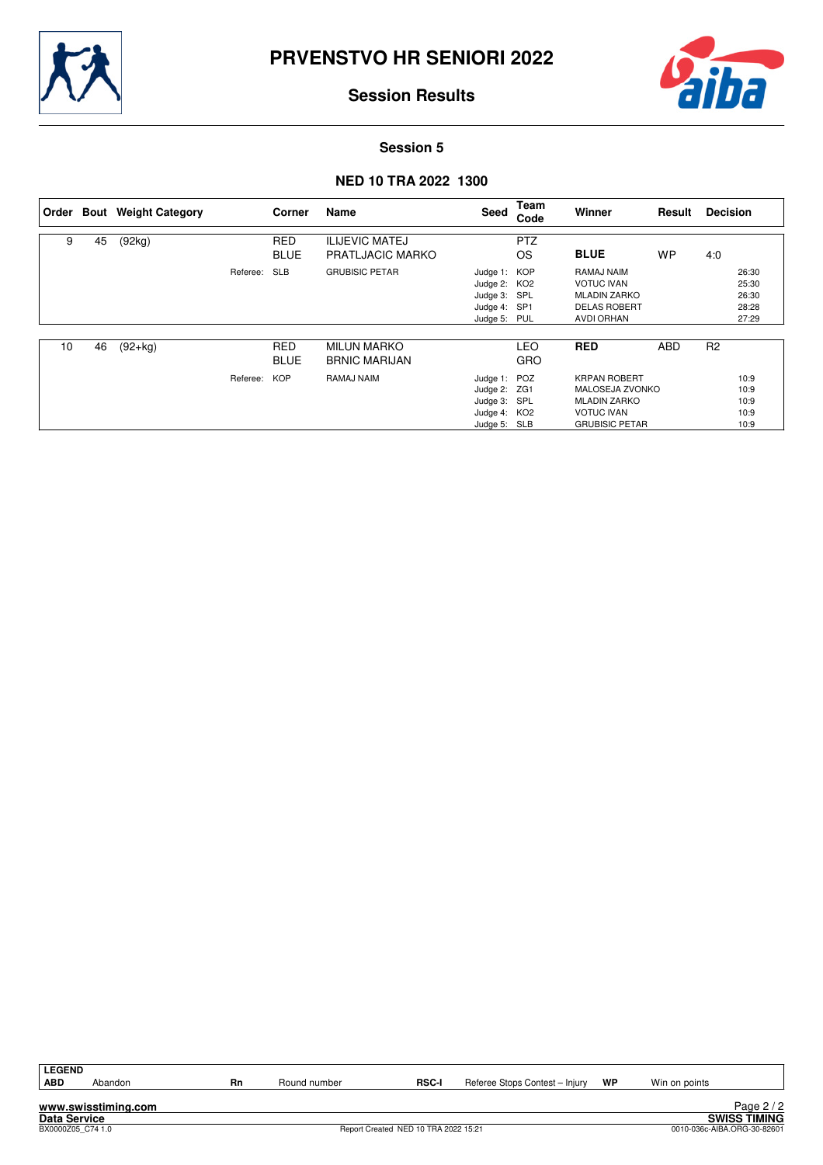



#### **Session 5**

### **NED 10 TRA 2022 1300**

|    |    | Order Bout Weight Category |          | Corner                    | Name                                             | Seed                                                                         | Team<br>Code            | Winner                                                                                                             | Result     | <b>Decision</b> |                                           |
|----|----|----------------------------|----------|---------------------------|--------------------------------------------------|------------------------------------------------------------------------------|-------------------------|--------------------------------------------------------------------------------------------------------------------|------------|-----------------|-------------------------------------------|
| 9  | 45 | (92kg)                     |          | <b>RED</b><br><b>BLUE</b> | <b>ILIJEVIC MATEJ</b><br><b>PRATLJACIC MARKO</b> |                                                                              | <b>PTZ</b><br><b>OS</b> | <b>BLUE</b>                                                                                                        | <b>WP</b>  | 4:0             |                                           |
|    |    |                            | Referee: | <b>SLB</b>                | <b>GRUBISIC PETAR</b>                            | Judge 1: KOP<br>Judge 2: KO2<br>Judge 3: SPL<br>Judge 4: SP1<br>Judge 5: PUL |                         | RAMAJ NAIM<br><b>VOTUC IVAN</b><br><b>MLADIN ZARKO</b><br><b>DELAS ROBERT</b><br><b>AVDI ORHAN</b>                 |            |                 | 26:30<br>25:30<br>26:30<br>28:28<br>27:29 |
| 10 | 46 | $(92+kg)$                  |          | <b>RED</b><br><b>BLUE</b> | <b>MILUN MARKO</b><br><b>BRNIC MARIJAN</b>       |                                                                              | LEO<br><b>GRO</b>       | <b>RED</b>                                                                                                         | <b>ABD</b> | R <sub>2</sub>  |                                           |
|    |    |                            | Referee: | <b>KOP</b>                | RAMAJ NAIM                                       | Judge 1: POZ<br>Judge 2: ZG1<br>Judge 3: SPL<br>Judge 4: KO2<br>Judge 5: SLB |                         | <b>KRPAN ROBERT</b><br><b>MALOSEJA ZVONKO</b><br><b>MLADIN ZARKO</b><br><b>VOTUC IVAN</b><br><b>GRUBISIC PETAR</b> |            |                 | 10:9<br>10:9<br>10:9<br>10:9<br>10:9      |

| G<br>M. |
|---------|
| ٠       |